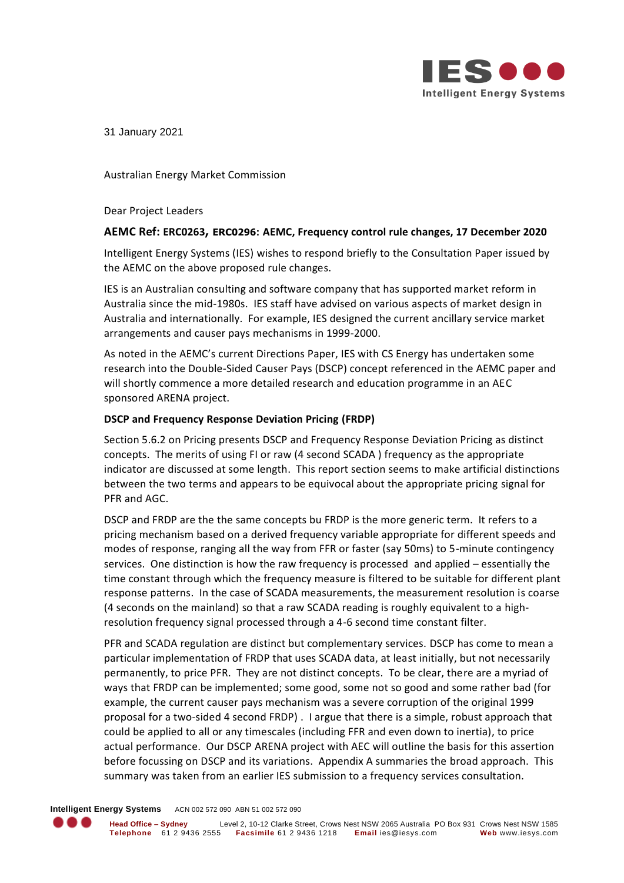

31 January 2021

Australian Energy Market Commission

Dear Project Leaders

# **AEMC Ref: ERC0263, ERC0296: AEMC, Frequency control rule changes, 17 December 2020**

Intelligent Energy Systems (IES) wishes to respond briefly to the Consultation Paper issued by the AEMC on the above proposed rule changes.

IES is an Australian consulting and software company that has supported market reform in Australia since the mid-1980s. IES staff have advised on various aspects of market design in Australia and internationally. For example, IES designed the current ancillary service market arrangements and causer pays mechanisms in 1999-2000.

As noted in the AEMC's current Directions Paper, IES with CS Energy has undertaken some research into the Double-Sided Causer Pays (DSCP) concept referenced in the AEMC paper and will shortly commence a more detailed research and education programme in an AEC sponsored ARENA project.

# **DSCP and Frequency Response Deviation Pricing (FRDP)**

Section 5.6.2 on Pricing presents DSCP and Frequency Response Deviation Pricing as distinct concepts. The merits of using FI or raw (4 second SCADA ) frequency as the appropriate indicator are discussed at some length. This report section seems to make artificial distinctions between the two terms and appears to be equivocal about the appropriate pricing signal for PFR and AGC.

DSCP and FRDP are the the same concepts bu FRDP is the more generic term. It refers to a pricing mechanism based on a derived frequency variable appropriate for different speeds and modes of response, ranging all the way from FFR or faster (say 50ms) to 5-minute contingency services. One distinction is how the raw frequency is processed and applied – essentially the time constant through which the frequency measure is filtered to be suitable for different plant response patterns. In the case of SCADA measurements, the measurement resolution is coarse (4 seconds on the mainland) so that a raw SCADA reading is roughly equivalent to a highresolution frequency signal processed through a 4-6 second time constant filter.

PFR and SCADA regulation are distinct but complementary services. DSCP has come to mean a particular implementation of FRDP that uses SCADA data, at least initially, but not necessarily permanently, to price PFR. They are not distinct concepts. To be clear, there are a myriad of ways that FRDP can be implemented; some good, some not so good and some rather bad (for example, the current causer pays mechanism was a severe corruption of the original 1999 proposal for a two-sided 4 second FRDP) . I argue that there is a simple, robust approach that could be applied to all or any timescales (including FFR and even down to inertia), to price actual performance. Our DSCP ARENA project with AEC will outline the basis for this assertion before focussing on DSCP and its variations. Appendix A summaries the broad approach. This summary was taken from an earlier IES submission to a frequency services consultation.

**Intelligent Energy Systems** ACN 002 572 090 ABN 51 002 572 090

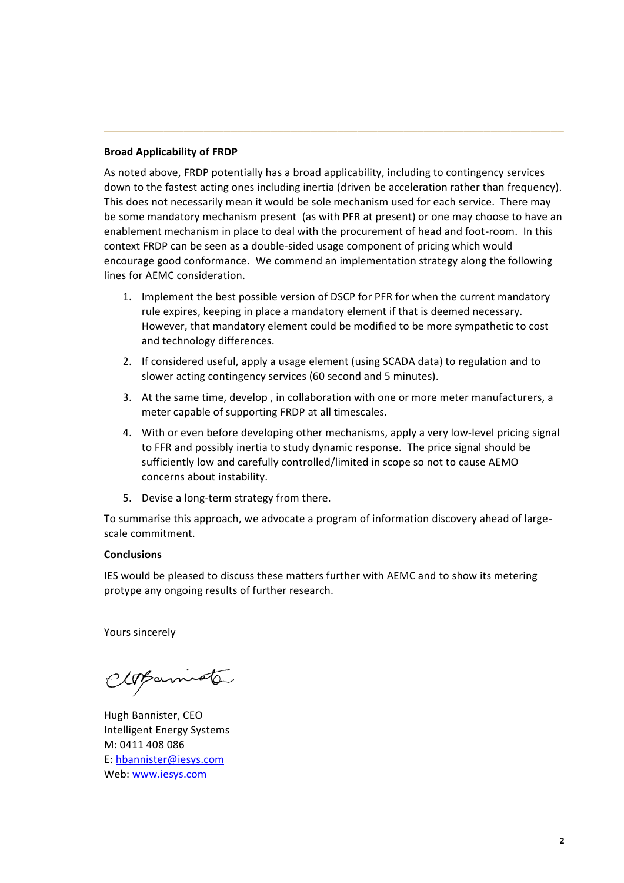# **Broad Applicability of FRDP**

As noted above, FRDP potentially has a broad applicability, including to contingency services down to the fastest acting ones including inertia (driven be acceleration rather than frequency). This does not necessarily mean it would be sole mechanism used for each service. There may be some mandatory mechanism present (as with PFR at present) or one may choose to have an enablement mechanism in place to deal with the procurement of head and foot-room. In this context FRDP can be seen as a double-sided usage component of pricing which would encourage good conformance. We commend an implementation strategy along the following lines for AEMC consideration.

**\_\_\_\_\_\_\_\_\_\_\_\_\_\_\_\_\_\_\_\_\_\_\_\_\_\_\_\_\_\_\_\_\_\_\_\_\_\_\_\_\_\_\_\_\_\_\_\_\_\_\_\_\_\_\_\_\_\_\_\_\_\_\_\_\_\_\_\_\_**

- 1. Implement the best possible version of DSCP for PFR for when the current mandatory rule expires, keeping in place a mandatory element if that is deemed necessary. However, that mandatory element could be modified to be more sympathetic to cost and technology differences.
- 2. If considered useful, apply a usage element (using SCADA data) to regulation and to slower acting contingency services (60 second and 5 minutes).
- 3. At the same time, develop , in collaboration with one or more meter manufacturers, a meter capable of supporting FRDP at all timescales.
- 4. With or even before developing other mechanisms, apply a very low-level pricing signal to FFR and possibly inertia to study dynamic response. The price signal should be sufficiently low and carefully controlled/limited in scope so not to cause AEMO concerns about instability.
- 5. Devise a long-term strategy from there.

To summarise this approach, we advocate a program of information discovery ahead of largescale commitment.

### **Conclusions**

IES would be pleased to discuss these matters further with AEMC and to show its metering protype any ongoing results of further research.

Yours sincerely

CloBarniote

Hugh Bannister, CEO Intelligent Energy Systems M: 0411 408 086 E: [hbannister@iesys.com](mailto:hbannister@iesys.com) Web: [www.iesys.com](http://www.iesys.com/)